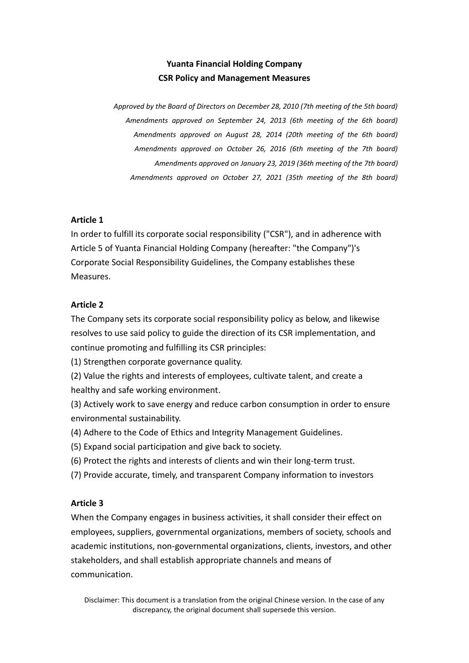# **Yuanta Financial Holding Company CSR Policy and Management Measures**

*Approved by the Board of Directors on December 28, 2010 (7th meeting of the 5th board) Amendments approved on September 24, 2013 (6th meeting of the 6th board) Amendments approved on August 28, 2014 (20th meeting of the 6th board) Amendments approved on October 26, 2016 (6th meeting of the 7th board) Amendments approved on January 23, 2019 (36th meeting of the 7th board) Amendments approved on October 27, 2021 (35th meeting of the 8th board)*

# **Article 1**

In order to fulfill its corporate social responsibility ("CSR"), and in adherence with Article 5 of Yuanta Financial Holding Company (hereafter: "the Company")'s Corporate Social Responsibility Guidelines, the Company establishes these Measures.

# **Article 2**

The Company sets its corporate social responsibility policy as below, and likewise resolves to use said policy to guide the direction of its CSR implementation, and continue promoting and fulfilling its CSR principles:

(1) Strengthen corporate governance quality.

(2) Value the rights and interests of employees, cultivate talent, and create a healthy and safe working environment.

(3) Actively work to save energy and reduce carbon consumption in order to ensure environmental sustainability.

- (4) Adhere to the Code of Ethics and Integrity Management Guidelines.
- (5) Expand social participation and give back to society.
- (6) Protect the rights and interests of clients and win their long-term trust.
- (7) Provide accurate, timely, and transparent Company information to investors

#### **Article 3**

When the Company engages in business activities, it shall consider their effect on employees, suppliers, governmental organizations, members of society, schools and academic institutions, non-governmental organizations, clients, investors, and other stakeholders, and shall establish appropriate channels and means of communication.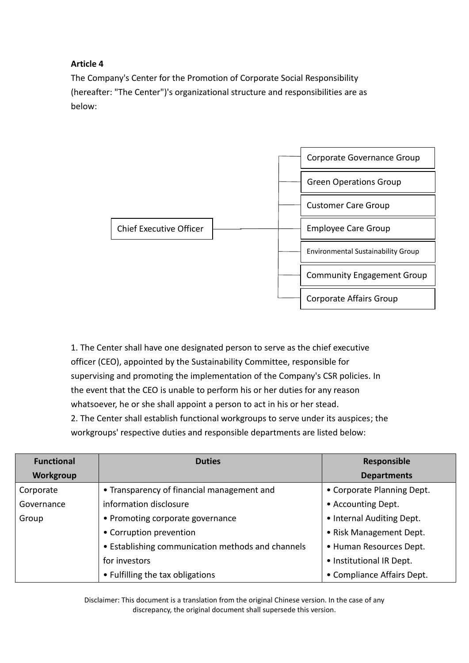# **Article 4**

The Company's Center for the Promotion of Corporate Social Responsibility (hereafter: "The Center")'s organizational structure and responsibilities are as below:



1. The Center shall have one designated person to serve as the chief executive officer (CEO), appointed by the Sustainability Committee, responsible for supervising and promoting the implementation of the Company's CSR policies. In the event that the CEO is unable to perform his or her duties for any reason whatsoever, he or she shall appoint a person to act in his or her stead. 2. The Center shall establish functional workgroups to serve under its auspices; the workgroups' respective duties and responsible departments are listed below:

| <b>Functional</b> | <b>Duties</b>                                     | Responsible                |
|-------------------|---------------------------------------------------|----------------------------|
| <b>Workgroup</b>  |                                                   | <b>Departments</b>         |
| Corporate         | • Transparency of financial management and        | • Corporate Planning Dept. |
| Governance        | information disclosure                            | • Accounting Dept.         |
| Group             | • Promoting corporate governance                  | • Internal Auditing Dept.  |
|                   | • Corruption prevention                           | • Risk Management Dept.    |
|                   | • Establishing communication methods and channels | • Human Resources Dept.    |
|                   | for investors                                     | • Institutional IR Dept.   |
|                   | • Fulfilling the tax obligations                  | • Compliance Affairs Dept. |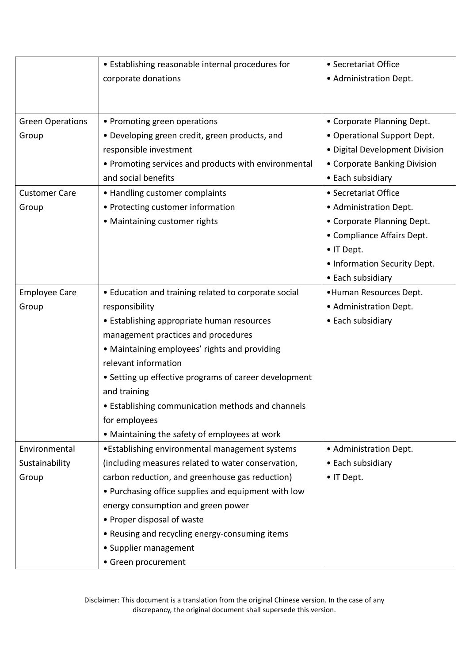|                         | • Establishing reasonable internal procedures for     | • Secretariat Office           |
|-------------------------|-------------------------------------------------------|--------------------------------|
|                         | corporate donations                                   | • Administration Dept.         |
|                         |                                                       |                                |
|                         |                                                       |                                |
| <b>Green Operations</b> | • Promoting green operations                          | • Corporate Planning Dept.     |
| Group                   | • Developing green credit, green products, and        | • Operational Support Dept.    |
|                         | responsible investment                                | · Digital Development Division |
|                         | • Promoting services and products with environmental  | • Corporate Banking Division   |
|                         | and social benefits                                   | • Each subsidiary              |
| <b>Customer Care</b>    | • Handling customer complaints                        | • Secretariat Office           |
| Group                   | • Protecting customer information                     | • Administration Dept.         |
|                         | • Maintaining customer rights                         | • Corporate Planning Dept.     |
|                         |                                                       | • Compliance Affairs Dept.     |
|                         |                                                       | • IT Dept.                     |
|                         |                                                       | • Information Security Dept.   |
|                         |                                                       | • Each subsidiary              |
| <b>Employee Care</b>    | • Education and training related to corporate social  | •Human Resources Dept.         |
| Group                   | responsibility                                        | • Administration Dept.         |
|                         | • Establishing appropriate human resources            | • Each subsidiary              |
|                         | management practices and procedures                   |                                |
|                         | • Maintaining employees' rights and providing         |                                |
|                         | relevant information                                  |                                |
|                         | • Setting up effective programs of career development |                                |
|                         | and training                                          |                                |
|                         | • Establishing communication methods and channels     |                                |
|                         | for employees                                         |                                |
|                         | • Maintaining the safety of employees at work         |                                |
| Environmental           | •Establishing environmental management systems        | • Administration Dept.         |
| Sustainability          | (including measures related to water conservation,    | • Each subsidiary              |
| Group                   | carbon reduction, and greenhouse gas reduction)       | • IT Dept.                     |
|                         | • Purchasing office supplies and equipment with low   |                                |
|                         | energy consumption and green power                    |                                |
|                         | • Proper disposal of waste                            |                                |
|                         | • Reusing and recycling energy-consuming items        |                                |
|                         | • Supplier management                                 |                                |
|                         | • Green procurement                                   |                                |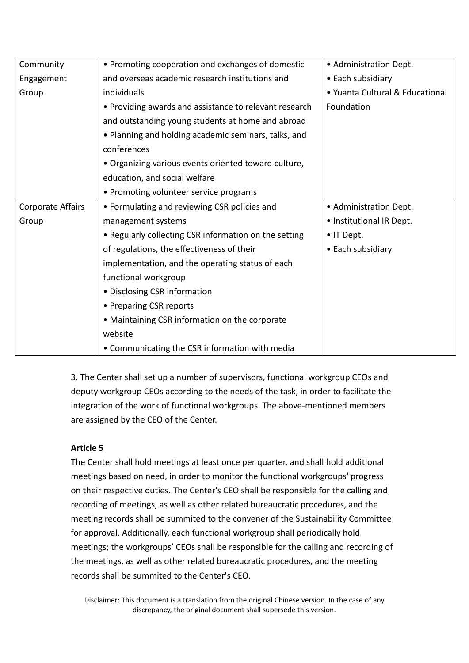| Community         | • Promoting cooperation and exchanges of domestic      | • Administration Dept.          |
|-------------------|--------------------------------------------------------|---------------------------------|
| Engagement        | and overseas academic research institutions and        | • Each subsidiary               |
| Group             | individuals                                            | • Yuanta Cultural & Educational |
|                   | • Providing awards and assistance to relevant research | Foundation                      |
|                   | and outstanding young students at home and abroad      |                                 |
|                   | • Planning and holding academic seminars, talks, and   |                                 |
|                   | conferences                                            |                                 |
|                   | . Organizing various events oriented toward culture,   |                                 |
|                   | education, and social welfare                          |                                 |
|                   | • Promoting volunteer service programs                 |                                 |
| Corporate Affairs | • Formulating and reviewing CSR policies and           | • Administration Dept.          |
| Group             | management systems                                     | • Institutional IR Dept.        |
|                   | • Regularly collecting CSR information on the setting  | • IT Dept.                      |
|                   | of regulations, the effectiveness of their             | • Each subsidiary               |
|                   | implementation, and the operating status of each       |                                 |
|                   | functional workgroup                                   |                                 |
|                   | • Disclosing CSR information                           |                                 |
|                   | • Preparing CSR reports                                |                                 |
|                   | • Maintaining CSR information on the corporate         |                                 |
|                   | website                                                |                                 |
|                   | • Communicating the CSR information with media         |                                 |

3. The Center shall set up a number of supervisors, functional workgroup CEOs and deputy workgroup CEOs according to the needs of the task, in order to facilitate the integration of the work of functional workgroups. The above-mentioned members are assigned by the CEO of the Center.

# **Article 5**

The Center shall hold meetings at least once per quarter, and shall hold additional meetings based on need, in order to monitor the functional workgroups' progress on their respective duties. The Center's CEO shall be responsible for the calling and recording of meetings, as well as other related bureaucratic procedures, and the meeting records shall be summited to the convener of the Sustainability Committee for approval. Additionally, each functional workgroup shall periodically hold meetings; the workgroups' CEOs shall be responsible for the calling and recording of the meetings, as well as other related bureaucratic procedures, and the meeting records shall be summited to the Center's CEO.